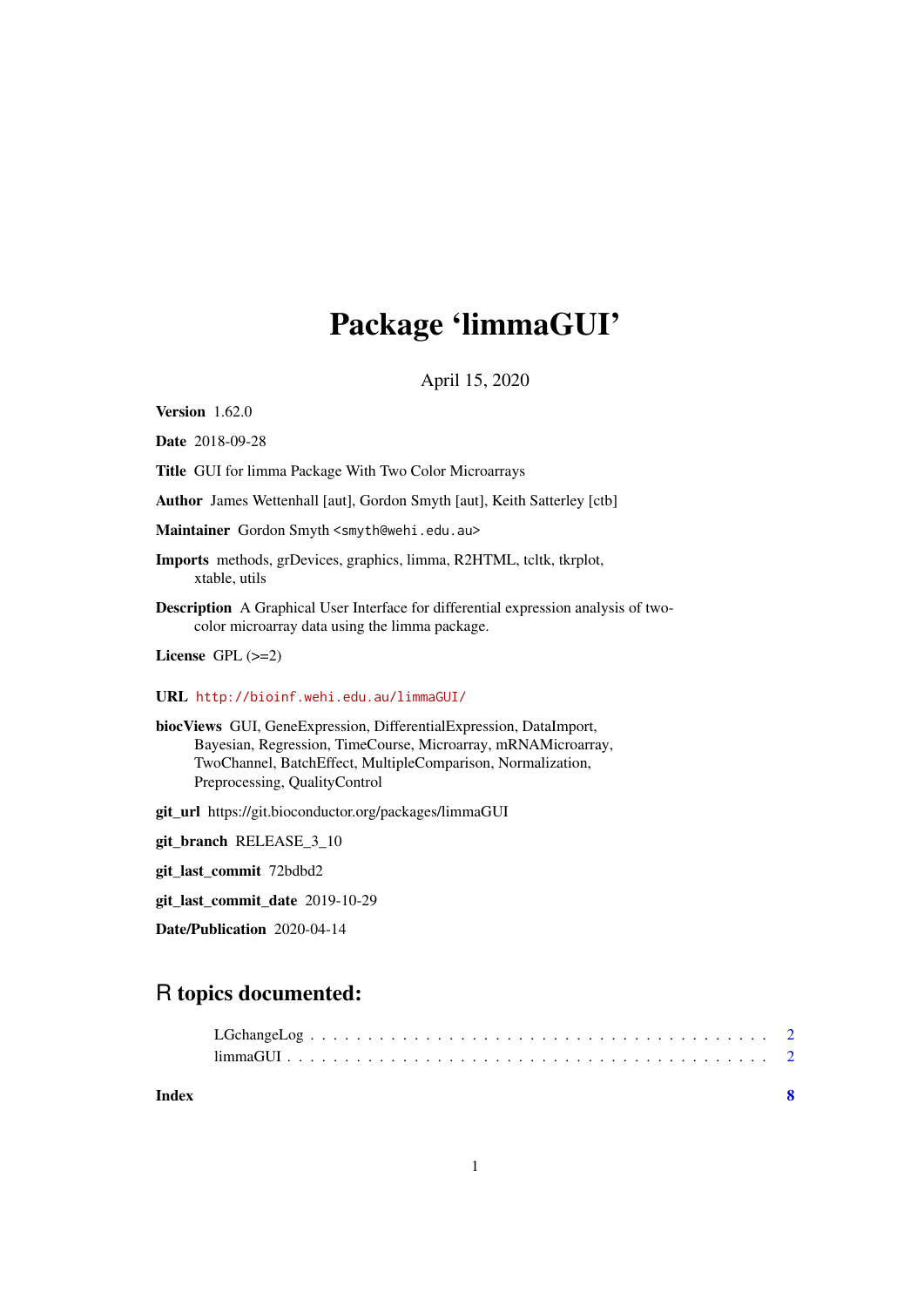## Package 'limmaGUI'

April 15, 2020

Version 1.62.0

Date 2018-09-28

Title GUI for limma Package With Two Color Microarrays

Author James Wettenhall [aut], Gordon Smyth [aut], Keith Satterley [ctb]

Maintainer Gordon Smyth <smyth@wehi.edu.au>

- Imports methods, grDevices, graphics, limma, R2HTML, tcltk, tkrplot, xtable, utils
- Description A Graphical User Interface for differential expression analysis of twocolor microarray data using the limma package.

License GPL  $(>=2)$ 

#### URL <http://bioinf.wehi.edu.au/limmaGUI/>

biocViews GUI, GeneExpression, DifferentialExpression, DataImport, Bayesian, Regression, TimeCourse, Microarray, mRNAMicroarray, TwoChannel, BatchEffect, MultipleComparison, Normalization, Preprocessing, QualityControl

git\_url https://git.bioconductor.org/packages/limmaGUI

git\_branch RELEASE\_3\_10

git\_last\_commit 72bdbd2

git\_last\_commit\_date 2019-10-29

Date/Publication 2020-04-14

### R topics documented:

**Index** [8](#page-7-0) **8**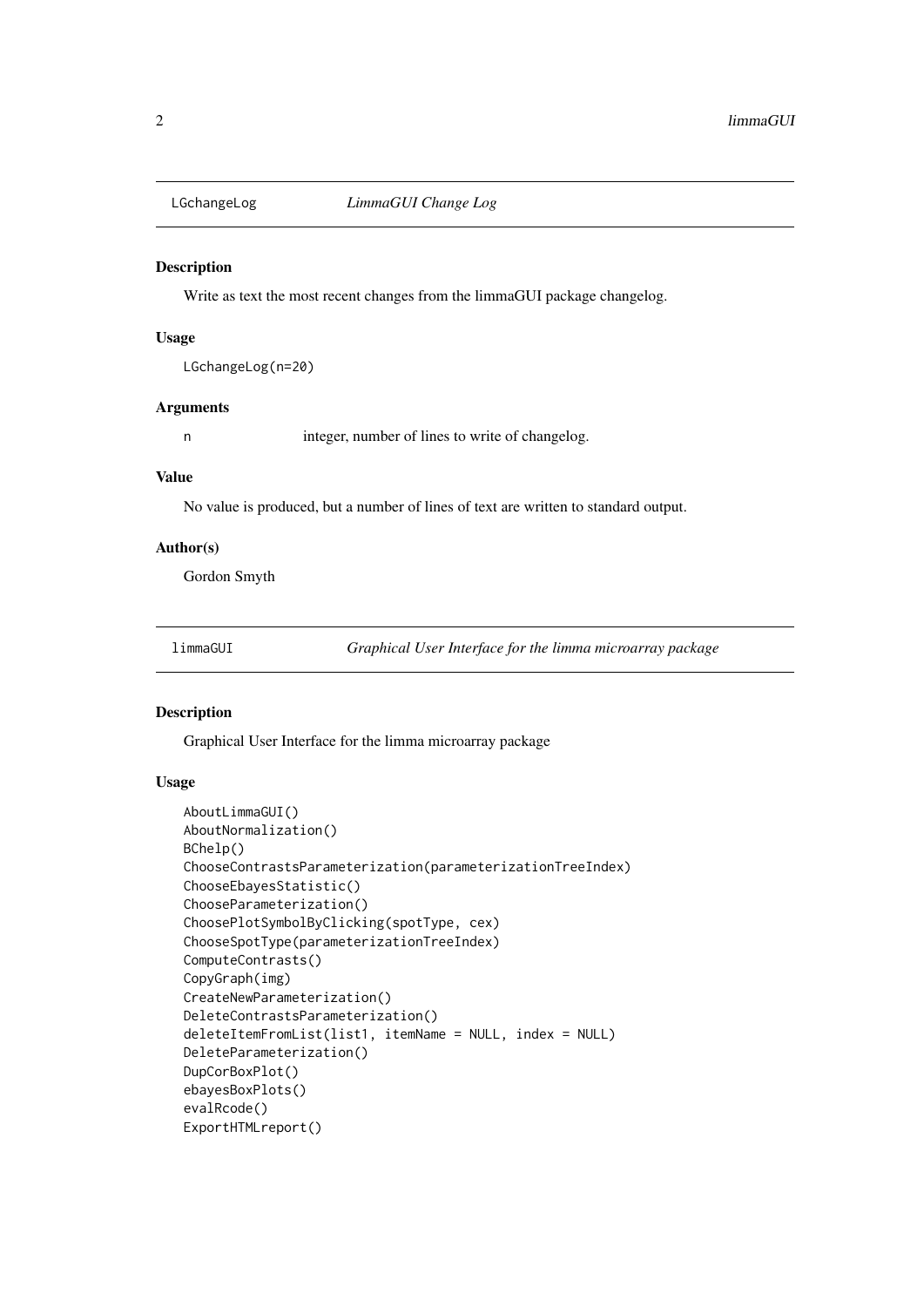<span id="page-1-0"></span>

#### Description

Write as text the most recent changes from the limmaGUI package changelog.

#### Usage

LGchangeLog(n=20)

#### Arguments

n integer, number of lines to write of changelog.

#### Value

No value is produced, but a number of lines of text are written to standard output.

#### Author(s)

Gordon Smyth

limmaGUI *Graphical User Interface for the limma microarray package*

#### Description

Graphical User Interface for the limma microarray package

#### Usage

```
AboutLimmaGUI()
AboutNormalization()
BChelp()
ChooseContrastsParameterization(parameterizationTreeIndex)
ChooseEbayesStatistic()
ChooseParameterization()
ChoosePlotSymbolByClicking(spotType, cex)
ChooseSpotType(parameterizationTreeIndex)
ComputeContrasts()
CopyGraph(img)
CreateNewParameterization()
DeleteContrastsParameterization()
deleteItemFromList(list1, itemName = NULL, index = NULL)
DeleteParameterization()
DupCorBoxPlot()
ebayesBoxPlots()
evalRcode()
ExportHTMLreport()
```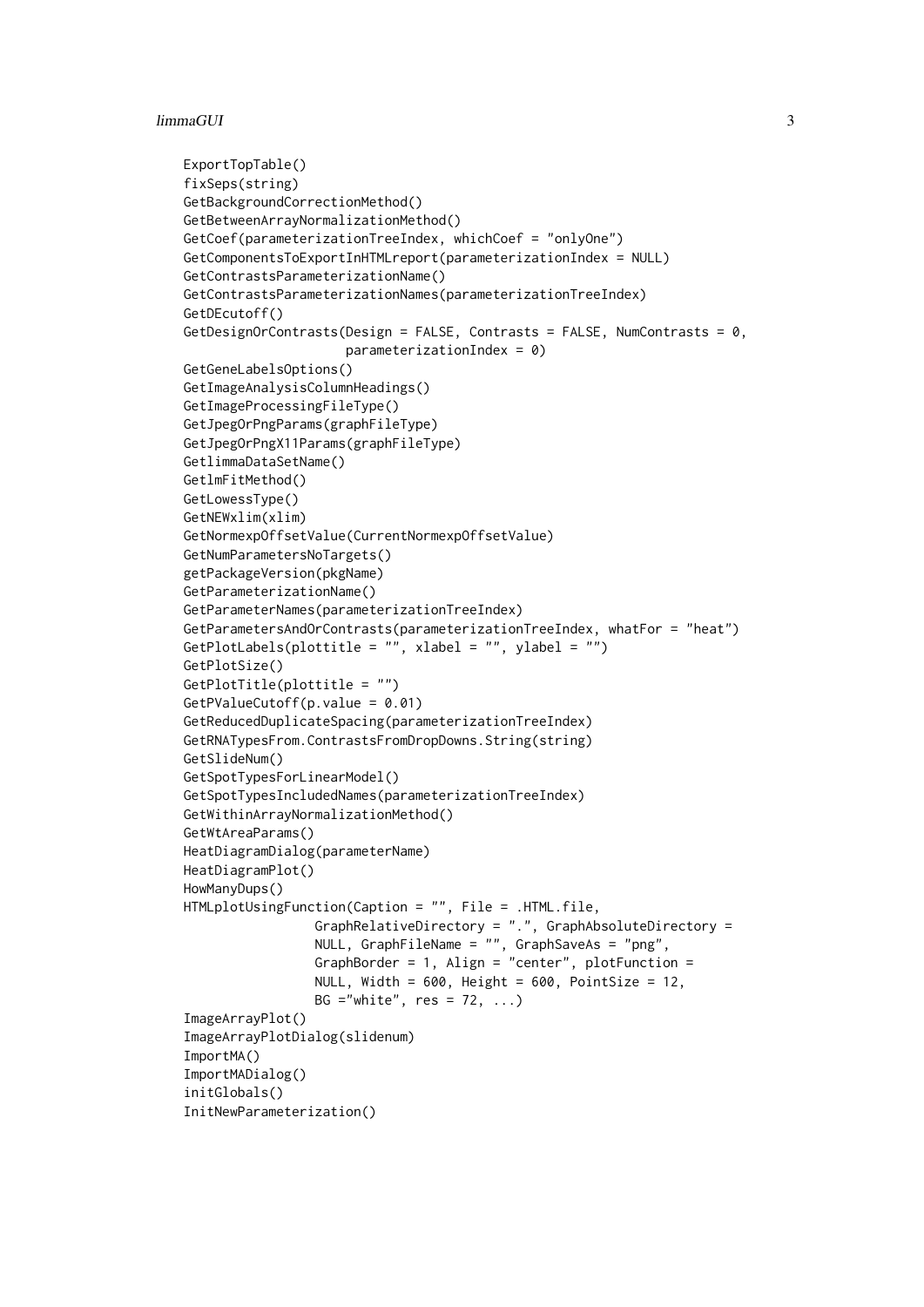#### limmaGUI 3

```
ExportTopTable()
fixSeps(string)
GetBackgroundCorrectionMethod()
GetBetweenArrayNormalizationMethod()
GetCoef(parameterizationTreeIndex, whichCoef = "onlyOne")
GetComponentsToExportInHTMLreport(parameterizationIndex = NULL)
GetContrastsParameterizationName()
GetContrastsParameterizationNames(parameterizationTreeIndex)
GetDEcutoff()
GetDesignOrContrasts(Design = FALSE, Contrasts = FALSE, NumContrasts = 0,
                     parameterizationIndex = 0GetGeneLabelsOptions()
GetImageAnalysisColumnHeadings()
GetImageProcessingFileType()
GetJpegOrPngParams(graphFileType)
GetJpegOrPngX11Params(graphFileType)
GetlimmaDataSetName()
GetlmFitMethod()
GetLowessType()
GetNEWxlim(xlim)
GetNormexpOffsetValue(CurrentNormexpOffsetValue)
GetNumParametersNoTargets()
getPackageVersion(pkgName)
GetParameterizationName()
GetParameterNames(parameterizationTreeIndex)
GetParametersAndOrContrasts(parameterizationTreeIndex, whatFor = "heat")
GetPlotLabels(plottitle = "", xlabel = "", ylabel = "")
GetPlotSize()
GetPlotTitle(plottitle = "")
GetPValueCutoff(p.value = 0.01)
GetReducedDuplicateSpacing(parameterizationTreeIndex)
GetRNATypesFrom.ContrastsFromDropDowns.String(string)
GetSlideNum()
GetSpotTypesForLinearModel()
GetSpotTypesIncludedNames(parameterizationTreeIndex)
GetWithinArrayNormalizationMethod()
GetWtAreaParams()
HeatDiagramDialog(parameterName)
HeatDiagramPlot()
HowManyDups()
HTMLplotUsingFunction(Caption = "", File = .HTML.file,
                 GraphRelativeDirectory = ".", GraphAbsoluteDirectory =
                 NULL, GraphFileName = "", GraphSaveAs = "png",
                 GraphBorder = 1, Align = "center", plotFunction =
                 NULL, Width = 600, Height = 600, PointSize = 12,
                 BG ="white", res = 72, ...ImageArrayPlot()
ImageArrayPlotDialog(slidenum)
ImportMA()
ImportMADialog()
initGlobals()
InitNewParameterization()
```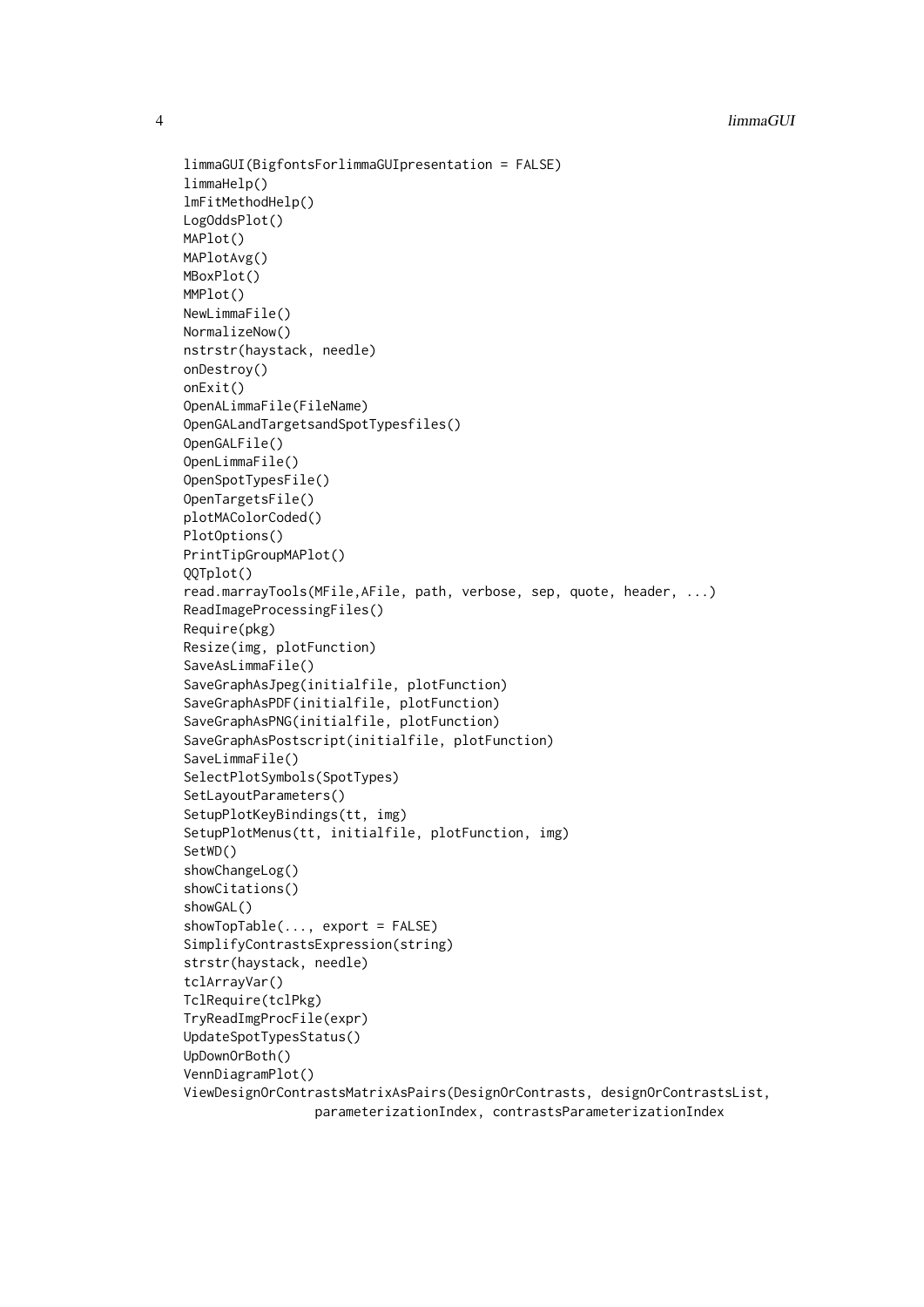```
limmaGUI(BigfontsForlimmaGUIpresentation = FALSE)
limmaHelp()
lmFitMethodHelp()
LogOddsPlot()
MAPlot()
MAPlotAvg()
MBoxPlot()
MMPlot()
NewLimmaFile()
NormalizeNow()
nstrstr(haystack, needle)
onDestroy()
onExit()
OpenALimmaFile(FileName)
OpenGALandTargetsandSpotTypesfiles()
OpenGALFile()
OpenLimmaFile()
OpenSpotTypesFile()
OpenTargetsFile()
plotMAColorCoded()
PlotOptions()
PrintTipGroupMAPlot()
QQTplot()
read.marrayTools(MFile,AFile, path, verbose, sep, quote, header, ...)
ReadImageProcessingFiles()
Require(pkg)
Resize(img, plotFunction)
SaveAsLimmaFile()
SaveGraphAsJpeg(initialfile, plotFunction)
SaveGraphAsPDF(initialfile, plotFunction)
SaveGraphAsPNG(initialfile, plotFunction)
SaveGraphAsPostscript(initialfile, plotFunction)
SaveLimmaFile()
SelectPlotSymbols(SpotTypes)
SetLayoutParameters()
SetupPlotKeyBindings(tt, img)
SetupPlotMenus(tt, initialfile, plotFunction, img)
SetWD()
showChangeLog()
showCitations()
showGAL()
showTopTable(..., export = FALSE)
SimplifyContrastsExpression(string)
strstr(haystack, needle)
tclArrayVar()
TclRequire(tclPkg)
TryReadImgProcFile(expr)
UpdateSpotTypesStatus()
UpDownOrBoth()
VennDiagramPlot()
ViewDesignOrContrastsMatrixAsPairs(DesignOrContrasts, designOrContrastsList,
                 parameterizationIndex, contrastsParameterizationIndex
```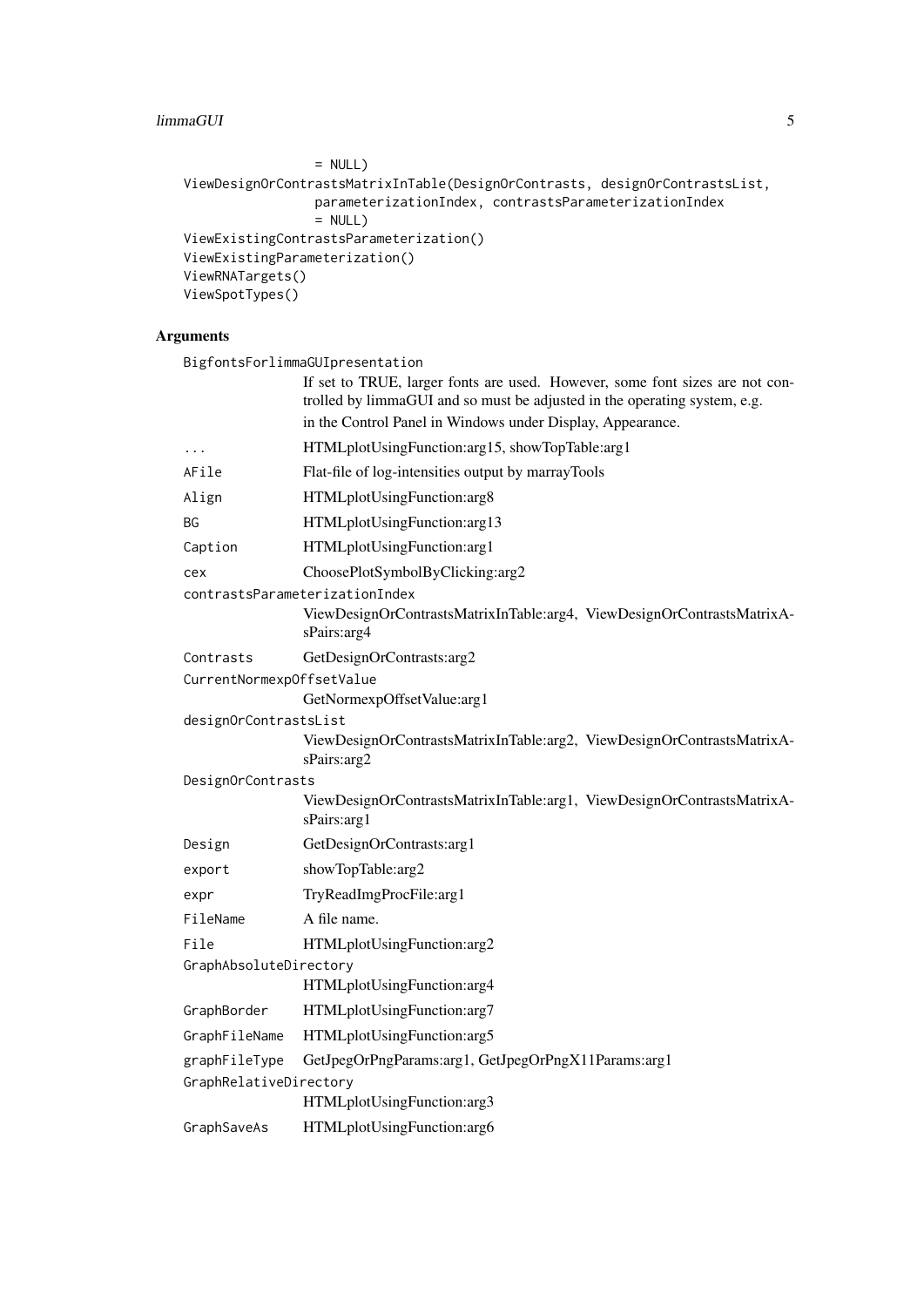#### limmaGUI 5

```
= NULL)ViewDesignOrContrastsMatrixInTable(DesignOrContrasts, designOrContrastsList,
                 parameterizationIndex, contrastsParameterizationIndex
                 = NULL)
ViewExistingContrastsParameterization()
ViewExistingParameterization()
ViewRNATargets()
ViewSpotTypes()
```
#### Arguments

|                           | BigfontsForlimmaGUIpresentation                                                                                                                           |
|---------------------------|-----------------------------------------------------------------------------------------------------------------------------------------------------------|
|                           | If set to TRUE, larger fonts are used. However, some font sizes are not con-<br>trolled by limmaGUI and so must be adjusted in the operating system, e.g. |
|                           | in the Control Panel in Windows under Display, Appearance.                                                                                                |
| $\ddots$                  | HTMLplotUsingFunction:arg15, showTopTable:arg1                                                                                                            |
| AFile                     | Flat-file of log-intensities output by marrayTools                                                                                                        |
| Align                     | HTMLplotUsingFunction:arg8                                                                                                                                |
| ΒG                        | HTMLplotUsingFunction:arg13                                                                                                                               |
| Caption                   | HTMLplotUsingFunction:arg1                                                                                                                                |
| cex                       | ChoosePlotSymbolByClicking:arg2                                                                                                                           |
|                           | contrastsParameterizationIndex<br>ViewDesignOrContrastsMatrixInTable:arg4, ViewDesignOrContrastsMatrixA-<br>sPairs: arg4                                  |
| Contrasts                 | GetDesignOrContrasts:arg2                                                                                                                                 |
| CurrentNormexpOffsetValue |                                                                                                                                                           |
|                           | GetNormexpOffsetValue:arg1                                                                                                                                |
| designOrContrastsList     | ViewDesignOrContrastsMatrixInTable:arg2, ViewDesignOrContrastsMatrixA-<br>sPairs:arg2                                                                     |
| DesignOrContrasts         |                                                                                                                                                           |
|                           | ViewDesignOrContrastsMatrixInTable:arg1, ViewDesignOrContrastsMatrixA-<br>sPairs:arg1                                                                     |
| Design                    | GetDesignOrContrasts:arg1                                                                                                                                 |
| export                    | showTopTable:arg2                                                                                                                                         |
| expr                      | TryReadImgProcFile:arg1                                                                                                                                   |
| FileName                  | A file name.                                                                                                                                              |
| File                      | HTMLplotUsingFunction:arg2                                                                                                                                |
| GraphAbsoluteDirectory    |                                                                                                                                                           |
|                           | HTMLplotUsingFunction:arg4                                                                                                                                |
| GraphBorder               | HTMLplotUsingFunction:arg7                                                                                                                                |
| GraphFileName             | HTMLplotUsingFunction:arg5                                                                                                                                |
| graphFileType             | GetJpegOrPngParams:arg1, GetJpegOrPngX11Params:arg1                                                                                                       |
| GraphRelativeDirectory    |                                                                                                                                                           |
|                           | HTMLplotUsingFunction:arg3                                                                                                                                |
| GraphSaveAs               | HTMLplotUsingFunction:arg6                                                                                                                                |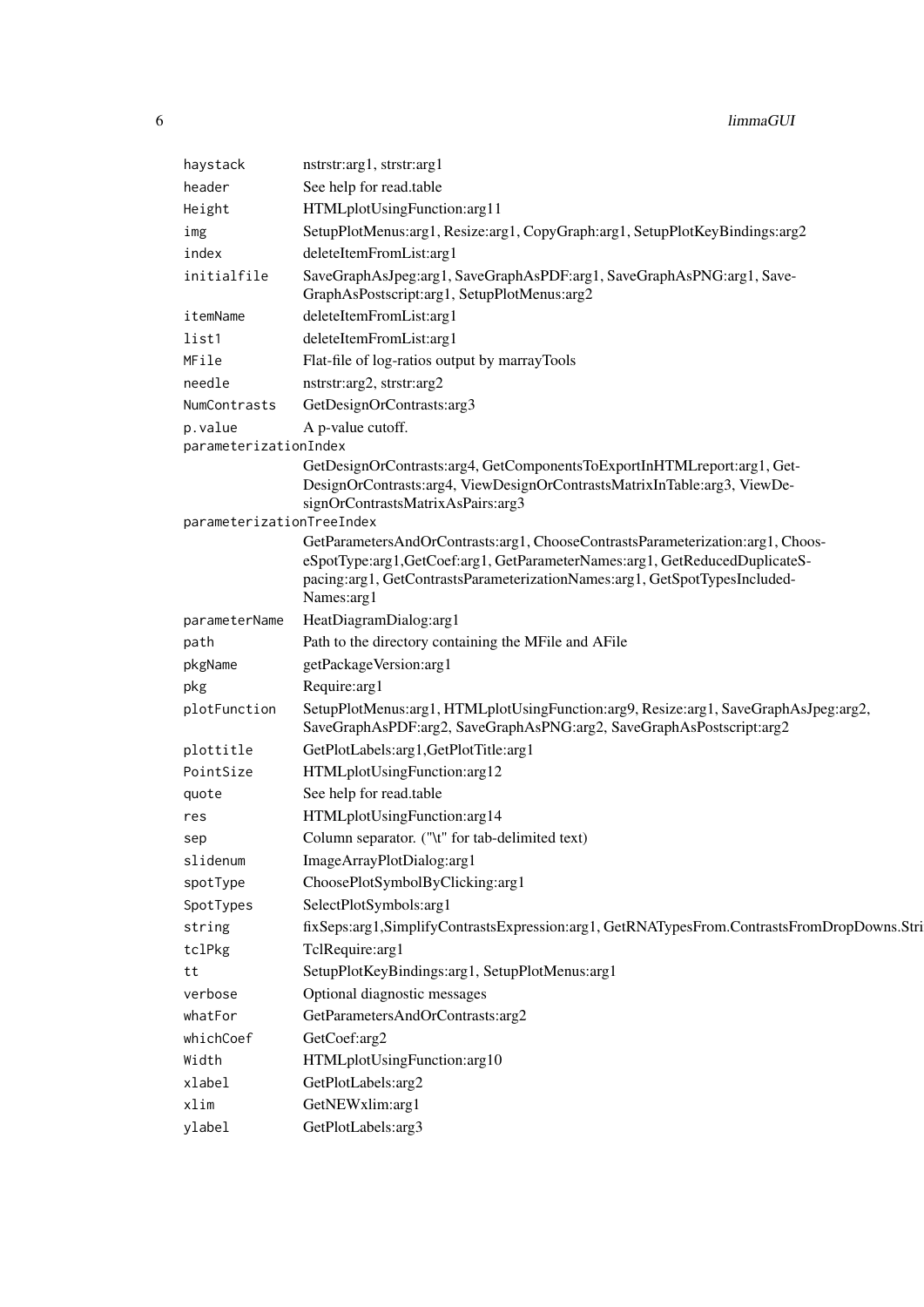| haystack                  | nstrstr:arg1, strstr:arg1                                                                                                                                                                                                                              |
|---------------------------|--------------------------------------------------------------------------------------------------------------------------------------------------------------------------------------------------------------------------------------------------------|
| header                    | See help for read.table                                                                                                                                                                                                                                |
| Height                    | HTMLplotUsingFunction:arg11                                                                                                                                                                                                                            |
| img                       | SetupPlotMenus:arg1, Resize:arg1, CopyGraph:arg1, SetupPlotKeyBindings:arg2                                                                                                                                                                            |
| index                     | deleteItemFromList:arg1                                                                                                                                                                                                                                |
| initialfile               | SaveGraphAsJpeg:arg1, SaveGraphAsPDF:arg1, SaveGraphAsPNG:arg1, Save-<br>GraphAsPostscript:arg1, SetupPlotMenus:arg2                                                                                                                                   |
| itemName                  | deleteItemFromList:arg1                                                                                                                                                                                                                                |
| list1                     | deleteItemFromList:arg1                                                                                                                                                                                                                                |
| MFile                     | Flat-file of log-ratios output by marrayTools                                                                                                                                                                                                          |
| needle                    | nstrstr:arg2, strstr:arg2                                                                                                                                                                                                                              |
| NumContrasts              | GetDesignOrContrasts:arg3                                                                                                                                                                                                                              |
| p.value                   | A p-value cutoff.                                                                                                                                                                                                                                      |
| parameterizationIndex     |                                                                                                                                                                                                                                                        |
|                           | GetDesignOrContrasts:arg4, GetComponentsToExportInHTMLreport:arg1, Get-<br>DesignOrContrasts:arg4, ViewDesignOrContrastsMatrixInTable:arg3, ViewDe-<br>signOrContrastsMatrixAsPairs:arg3                                                               |
| parameterizationTreeIndex |                                                                                                                                                                                                                                                        |
|                           | GetParametersAndOrContrasts:arg1, ChooseContrastsParameterization:arg1, Choos-<br>eSpotType:arg1,GetCoef:arg1,GetParameterNames:arg1,GetReducedDuplicateS-<br>pacing:arg1, GetContrastsParameterizationNames:arg1, GetSpotTypesIncluded-<br>Names:arg1 |
| parameterName             | HeatDiagramDialog:arg1                                                                                                                                                                                                                                 |
| path                      | Path to the directory containing the MFile and AFile                                                                                                                                                                                                   |
| pkgName                   | getPackageVersion:arg1                                                                                                                                                                                                                                 |
| pkg                       | Require:arg1                                                                                                                                                                                                                                           |
| plotFunction              | SetupPlotMenus:arg1, HTMLplotUsingFunction:arg9, Resize:arg1, SaveGraphAsJpeg:arg2,<br>SaveGraphAsPDF:arg2, SaveGraphAsPNG:arg2, SaveGraphAsPostscript:arg2                                                                                            |
| plottitle                 | GetPlotLabels:arg1,GetPlotTitle:arg1                                                                                                                                                                                                                   |
| PointSize                 | HTMLplotUsingFunction:arg12                                                                                                                                                                                                                            |
| quote                     | See help for read.table                                                                                                                                                                                                                                |
| res                       | HTMLplotUsingFunction:arg14                                                                                                                                                                                                                            |
| sep                       | Column separator. ("\t" for tab-delimited text)                                                                                                                                                                                                        |
| slidenum                  | ImageArrayPlotDialog:arg1                                                                                                                                                                                                                              |
| spotType                  | ChoosePlotSymbolByClicking:arg1                                                                                                                                                                                                                        |
| SpotTypes                 | SelectPlotSymbols:arg1                                                                                                                                                                                                                                 |
| string                    | fixSeps:arg1,SimplifyContrastsExpression:arg1, GetRNATypesFrom.ContrastsFromDropDowns.Stri                                                                                                                                                             |
| tclPkg                    | TclRequire:arg1                                                                                                                                                                                                                                        |
| tt                        | SetupPlotKeyBindings:arg1, SetupPlotMenus:arg1                                                                                                                                                                                                         |
| verbose                   | Optional diagnostic messages                                                                                                                                                                                                                           |
| whatFor                   | GetParametersAndOrContrasts:arg2                                                                                                                                                                                                                       |
| whichCoef                 | GetCoef:arg2                                                                                                                                                                                                                                           |
| Width                     | HTMLplotUsingFunction:arg10                                                                                                                                                                                                                            |
| xlabel                    | GetPlotLabels:arg2                                                                                                                                                                                                                                     |
| xlim                      | GetNEWxlim:arg1                                                                                                                                                                                                                                        |
| ylabel                    | GetPlotLabels:arg3                                                                                                                                                                                                                                     |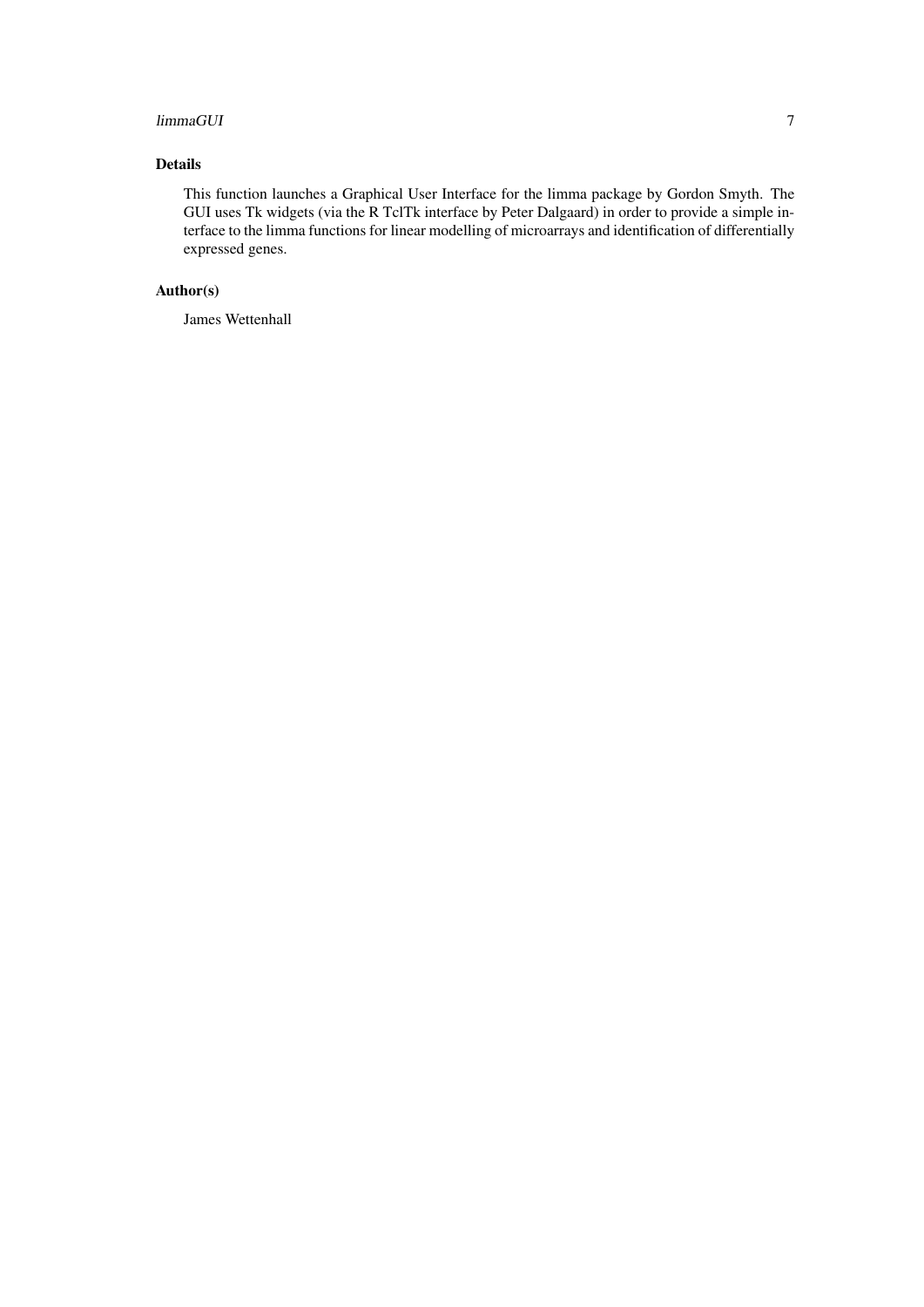#### limmaGUI 7 and 2012 1999 and 2013 1999 and 2014 1999 and 2014 1999 and 2014 1999 and 2014 1999 and 2014 1999 a

#### Details

This function launches a Graphical User Interface for the limma package by Gordon Smyth. The GUI uses Tk widgets (via the R TclTk interface by Peter Dalgaard) in order to provide a simple interface to the limma functions for linear modelling of microarrays and identification of differentially expressed genes.

#### Author(s)

James Wettenhall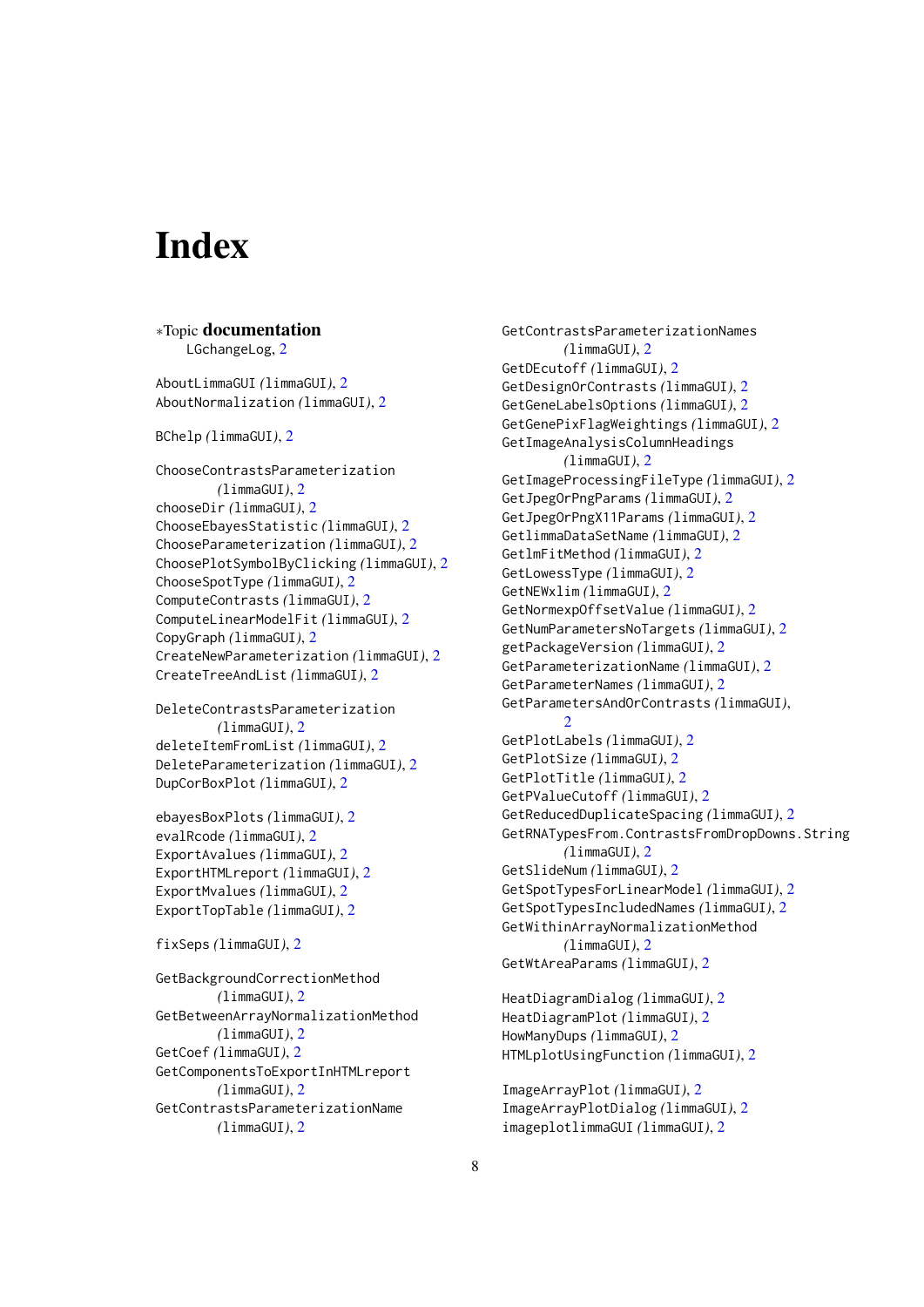# <span id="page-7-0"></span>Index

## ∗Topic documentation

LGchangeLog, [2](#page-1-0)

AboutLimmaGUI *(*limmaGUI*)*, [2](#page-1-0) AboutNormalization *(*limmaGUI*)*, [2](#page-1-0)

BChelp *(*limmaGUI*)*, [2](#page-1-0)

ChooseContrastsParameterization *(*limmaGUI*)*, [2](#page-1-0) chooseDir *(*limmaGUI*)*, [2](#page-1-0) ChooseEbayesStatistic *(*limmaGUI*)*, [2](#page-1-0) ChooseParameterization *(*limmaGUI*)*, [2](#page-1-0) ChoosePlotSymbolByClicking *(*limmaGUI*)*, [2](#page-1-0) ChooseSpotType *(*limmaGUI*)*, [2](#page-1-0) ComputeContrasts *(*limmaGUI*)*, [2](#page-1-0) ComputeLinearModelFit *(*limmaGUI*)*, [2](#page-1-0) CopyGraph *(*limmaGUI*)*, [2](#page-1-0) CreateNewParameterization *(*limmaGUI*)*, [2](#page-1-0) CreateTreeAndList *(*limmaGUI*)*, [2](#page-1-0)

DeleteContrastsParameterization *(*limmaGUI*)*, [2](#page-1-0) deleteItemFromList *(*limmaGUI*)*, [2](#page-1-0) DeleteParameterization *(*limmaGUI*)*, [2](#page-1-0) DupCorBoxPlot *(*limmaGUI*)*, [2](#page-1-0)

ebayesBoxPlots *(*limmaGUI*)*, [2](#page-1-0) evalRcode *(*limmaGUI*)*, [2](#page-1-0) ExportAvalues *(*limmaGUI*)*, [2](#page-1-0) ExportHTMLreport *(*limmaGUI*)*, [2](#page-1-0) ExportMvalues *(*limmaGUI*)*, [2](#page-1-0) ExportTopTable *(*limmaGUI*)*, [2](#page-1-0)

```
fixSeps (limmaGUI), 2
```

```
GetBackgroundCorrectionMethod
        (limmaGUI), 2
GetBetweenArrayNormalizationMethod
        (limmaGUI), 2
GetCoef (limmaGUI), 2
GetComponentsToExportInHTMLreport
        (limmaGUI), 2
GetContrastsParameterizationName
        (limmaGUI), 2
```
GetContrastsParameterizationNames *(*limmaGUI*)*, [2](#page-1-0) GetDEcutoff *(*limmaGUI*)*, [2](#page-1-0) GetDesignOrContrasts *(*limmaGUI*)*, [2](#page-1-0) GetGeneLabelsOptions *(*limmaGUI*)*, [2](#page-1-0) GetGenePixFlagWeightings *(*limmaGUI*)*, [2](#page-1-0) GetImageAnalysisColumnHeadings *(*limmaGUI*)*, [2](#page-1-0) GetImageProcessingFileType *(*limmaGUI*)*, [2](#page-1-0) GetJpegOrPngParams *(*limmaGUI*)*, [2](#page-1-0) GetJpegOrPngX11Params *(*limmaGUI*)*, [2](#page-1-0) GetlimmaDataSetName *(*limmaGUI*)*, [2](#page-1-0) GetlmFitMethod *(*limmaGUI*)*, [2](#page-1-0) GetLowessType *(*limmaGUI*)*, [2](#page-1-0) GetNEWxlim *(*limmaGUI*)*, [2](#page-1-0) GetNormexpOffsetValue *(*limmaGUI*)*, [2](#page-1-0) GetNumParametersNoTargets *(*limmaGUI*)*, [2](#page-1-0) getPackageVersion *(*limmaGUI*)*, [2](#page-1-0) GetParameterizationName *(*limmaGUI*)*, [2](#page-1-0) GetParameterNames *(*limmaGUI*)*, [2](#page-1-0) GetParametersAndOrContrasts *(*limmaGUI*)*,  $\mathcal{D}$ GetPlotLabels *(*limmaGUI*)*, [2](#page-1-0) GetPlotSize *(*limmaGUI*)*, [2](#page-1-0) GetPlotTitle *(*limmaGUI*)*, [2](#page-1-0) GetPValueCutoff *(*limmaGUI*)*, [2](#page-1-0) GetReducedDuplicateSpacing *(*limmaGUI*)*, [2](#page-1-0) GetRNATypesFrom.ContrastsFromDropDowns.String *(*limmaGUI*)*, [2](#page-1-0) GetSlideNum *(*limmaGUI*)*, [2](#page-1-0) GetSpotTypesForLinearModel *(*limmaGUI*)*, [2](#page-1-0) GetSpotTypesIncludedNames *(*limmaGUI*)*, [2](#page-1-0) GetWithinArrayNormalizationMethod *(*limmaGUI*)*, [2](#page-1-0) GetWtAreaParams *(*limmaGUI*)*, [2](#page-1-0)

```
HeatDiagramDialog (limmaGUI), 2
HeatDiagramPlot (limmaGUI), 2
HowManyDups (limmaGUI), 2
HTMLplotUsingFunction (limmaGUI), 2
```

```
ImageArrayPlot (limmaGUI), 2
ImageArrayPlotDialog (limmaGUI), 2
imageplotlimmaGUI (limmaGUI), 2
```